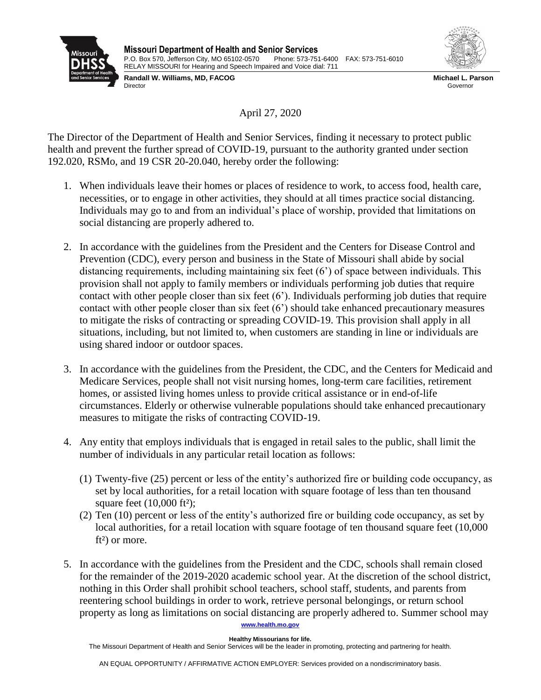



**Randall W. Williams, MD, FACOG** Director

**Michael L. Parson** Governor

April 27, 2020

The Director of the Department of Health and Senior Services, finding it necessary to protect public health and prevent the further spread of COVID-19, pursuant to the authority granted under section 192.020, RSMo, and 19 CSR 20-20.040, hereby order the following:

- 1. When individuals leave their homes or places of residence to work, to access food, health care, necessities, or to engage in other activities, they should at all times practice social distancing. Individuals may go to and from an individual's place of worship, provided that limitations on social distancing are properly adhered to.
- 2. In accordance with the guidelines from the President and the Centers for Disease Control and Prevention (CDC), every person and business in the State of Missouri shall abide by social distancing requirements, including maintaining six feet (6') of space between individuals. This provision shall not apply to family members or individuals performing job duties that require contact with other people closer than six feet (6'). Individuals performing job duties that require contact with other people closer than six feet (6') should take enhanced precautionary measures to mitigate the risks of contracting or spreading COVID-19. This provision shall apply in all situations, including, but not limited to, when customers are standing in line or individuals are using shared indoor or outdoor spaces.
- 3. In accordance with the guidelines from the President, the CDC, and the Centers for Medicaid and Medicare Services, people shall not visit nursing homes, long-term care facilities, retirement homes, or assisted living homes unless to provide critical assistance or in end-of-life circumstances. Elderly or otherwise vulnerable populations should take enhanced precautionary measures to mitigate the risks of contracting COVID-19.
- 4. Any entity that employs individuals that is engaged in retail sales to the public, shall limit the number of individuals in any particular retail location as follows:
	- (1) Twenty-five (25) percent or less of the entity's authorized fire or building code occupancy, as set by local authorities, for a retail location with square footage of less than ten thousand square feet  $(10,000 \text{ ft}^2)$ ;
	- (2) Ten (10) percent or less of the entity's authorized fire or building code occupancy, as set by local authorities, for a retail location with square footage of ten thousand square feet (10,000 ft²) or more.
- **[www.health.mo.gov](http://www.health.mo.gov/)** 5. In accordance with the guidelines from the President and the CDC, schools shall remain closed for the remainder of the 2019-2020 academic school year. At the discretion of the school district, nothing in this Order shall prohibit school teachers, school staff, students, and parents from reentering school buildings in order to work, retrieve personal belongings, or return school property as long as limitations on social distancing are properly adhered to. Summer school may

## **Healthy Missourians for life.**

The Missouri Department of Health and Senior Services will be the leader in promoting, protecting and partnering for health.